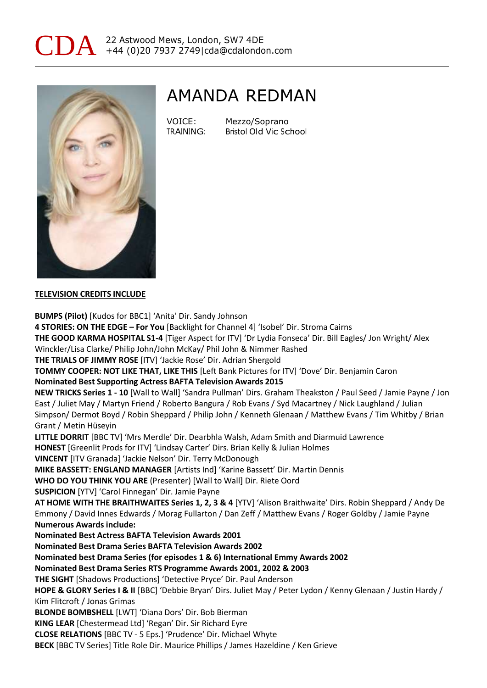



### AMANDA REDMAN

| VOICE:    | Mezzo/Soprano          |
|-----------|------------------------|
| TRAINING: | Bristol Old Vic School |

#### **TELEVISION CREDITS INCLUDE**

**BUMPS (Pilot)** [Kudos for BBC1] 'Anita' Dir. Sandy Johnson **4 STORIES: ON THE EDGE – For You** [Backlight for Channel 4] 'Isobel' Dir. Stroma Cairns **THE GOOD KARMA HOSPITAL S1-4** [Tiger Aspect for ITV] 'Dr Lydia Fonseca' Dir. Bill Eagles/ Jon Wright/ Alex Winckler/Lisa Clarke/ Philip John/John McKay/ Phil John & Nimmer Rashed **THE TRIALS OF JIMMY ROSE** [ITV] 'Jackie Rose' Dir. Adrian Shergold **TOMMY COOPER: NOT LIKE THAT, LIKE THIS** [Left Bank Pictures for ITV] 'Dove' Dir. Benjamin Caron **Nominated Best Supporting Actress BAFTA Television Awards 2015 NEW TRICKS Series 1 - 10** [Wall to Wall] 'Sandra Pullman' Dirs. Graham Theakston / Paul Seed / Jamie Payne / Jon East / Juliet May / Martyn Friend / Roberto Bangura / Rob Evans / Syd Macartney / Nick Laughland / Julian Simpson/ Dermot Boyd / Robin Sheppard / Philip John / Kenneth Glenaan / Matthew Evans / Tim Whitby / Brian Grant / Metin Hüseyin **LITTLE DORRIT** [BBC TV] 'Mrs Merdle' Dir. Dearbhla Walsh, Adam Smith and Diarmuid Lawrence **HONEST** [Greenlit Prods for ITV] 'Lindsay Carter' Dirs. Brian Kelly & Julian Holmes **VINCENT** [ITV Granada] 'Jackie Nelson' Dir. Terry McDonough **MIKE BASSETT: ENGLAND MANAGER** [Artists Ind] 'Karine Bassett' Dir. Martin Dennis **WHO DO YOU THINK YOU ARE** (Presenter) [Wall to Wall] Dir. Riete Oord **SUSPICION** [YTV] 'Carol Finnegan' Dir. Jamie Payne **AT HOME WITH THE BRAITHWAITES Series 1, 2, 3 & 4** [YTV] 'Alison Braithwaite' Dirs. Robin Sheppard / Andy De Emmony / David Innes Edwards / Morag Fullarton / Dan Zeff / Matthew Evans / Roger Goldby / Jamie Payne **Numerous Awards include: Nominated Best Actress BAFTA Television Awards 2001 Nominated Best Drama Series BAFTA Television Awards 2002 Nominated best Drama Series (for episodes 1 & 6) International Emmy Awards 2002 Nominated Best Drama Series RTS Programme Awards 2001, 2002 & 2003 THE SIGHT** [Shadows Productions] 'Detective Pryce' Dir. Paul Anderson **HOPE & GLORY Series I & II** [BBC] 'Debbie Bryan' Dirs. Juliet May / Peter Lydon / Kenny Glenaan / Justin Hardy / Kim Flitcroft / Jonas Grimas **BLONDE BOMBSHELL** [LWT] 'Diana Dors' Dir. Bob Bierman **KING LEAR** [Chestermead Ltd] 'Regan' Dir. Sir Richard Eyre **CLOSE RELATIONS** [BBC TV - 5 Eps.] 'Prudence' Dir. Michael Whyte **BECK** [BBC TV Series] Title Role Dir. Maurice Phillips / James Hazeldine / Ken Grieve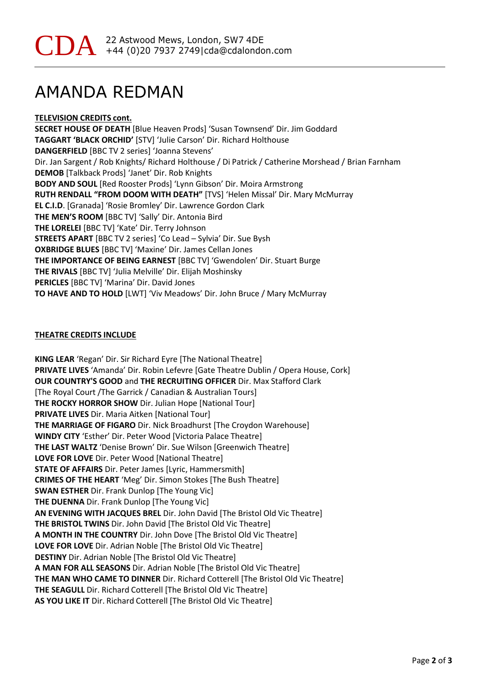## AMANDA REDMAN

**TELEVISION CREDITS cont. SECRET HOUSE OF DEATH** [Blue Heaven Prods] 'Susan Townsend' Dir. Jim Goddard **TAGGART 'BLACK ORCHID'** [STV] 'Julie Carson' Dir. Richard Holthouse **DANGERFIELD** [BBC TV 2 series] 'Joanna Stevens' Dir. Jan Sargent / Rob Knights/ Richard Holthouse / Di Patrick / Catherine Morshead / Brian Farnham **DEMOB** [Talkback Prods] 'Janet' Dir. Rob Knights **BODY AND SOUL** [Red Rooster Prods] 'Lynn Gibson' Dir. Moira Armstrong **RUTH RENDALL "FROM DOOM WITH DEATH"** [TVS] 'Helen Missal' Dir. Mary McMurray **EL C.I.D**. [Granada] 'Rosie Bromley' Dir. Lawrence Gordon Clark **THE MEN'S ROOM** [BBC TV] 'Sally' Dir. Antonia Bird **THE LORELEI** [BBC TV] 'Kate' Dir. Terry Johnson **STREETS APART** [BBC TV 2 series] 'Co Lead – Sylvia' Dir. Sue Bysh **OXBRIDGE BLUES** [BBC TV] 'Maxine' Dir. James Cellan Jones **THE IMPORTANCE OF BEING EARNEST** [BBC TV] 'Gwendolen' Dir. Stuart Burge **THE RIVALS** [BBC TV] 'Julia Melville' Dir. Elijah Moshinsky **PERICLES** [BBC TV] 'Marina' Dir. David Jones **TO HAVE AND TO HOLD** [LWT] 'Viv Meadows' Dir. John Bruce / Mary McMurray

#### **THEATRE CREDITS INCLUDE**

**KING LEAR** 'Regan' Dir. Sir Richard Eyre [The National Theatre] **PRIVATE LIVES** 'Amanda' Dir. Robin Lefevre [Gate Theatre Dublin / Opera House, Cork] **OUR COUNTRY'S GOOD** and **THE RECRUITING OFFICER** Dir. Max Stafford Clark [The Royal Court /The Garrick / Canadian & Australian Tours] **THE ROCKY HORROR SHOW** Dir. Julian Hope [National Tour] **PRIVATE LIVES** Dir. Maria Aitken [National Tour] **THE MARRIAGE OF FIGARO** Dir. Nick Broadhurst [The Croydon Warehouse] **WINDY CITY** 'Esther' Dir. Peter Wood [Victoria Palace Theatre] **THE LAST WALTZ** 'Denise Brown' Dir. Sue Wilson [Greenwich Theatre] **LOVE FOR LOVE** Dir. Peter Wood [National Theatre] **STATE OF AFFAIRS** Dir. Peter James [Lyric, Hammersmith] **CRIMES OF THE HEART** 'Meg' Dir. Simon Stokes [The Bush Theatre] **SWAN ESTHER** Dir. Frank Dunlop [The Young Vic] **THE DUENNA** Dir. Frank Dunlop [The Young Vic] **AN EVENING WITH JACQUES BREL** Dir. John David [The Bristol Old Vic Theatre] **THE BRISTOL TWINS** Dir. John David [The Bristol Old Vic Theatre] **A MONTH IN THE COUNTRY** Dir. John Dove [The Bristol Old Vic Theatre] **LOVE FOR LOVE** Dir. Adrian Noble [The Bristol Old Vic Theatre] **DESTINY** Dir. Adrian Noble [The Bristol Old Vic Theatre] **A MAN FOR ALL SEASONS** Dir. Adrian Noble [The Bristol Old Vic Theatre] **THE MAN WHO CAME TO DINNER** Dir. Richard Cotterell [The Bristol Old Vic Theatre] **THE SEAGULL** Dir. Richard Cotterell [The Bristol Old Vic Theatre] **AS YOU LIKE IT** Dir. Richard Cotterell [The Bristol Old Vic Theatre]